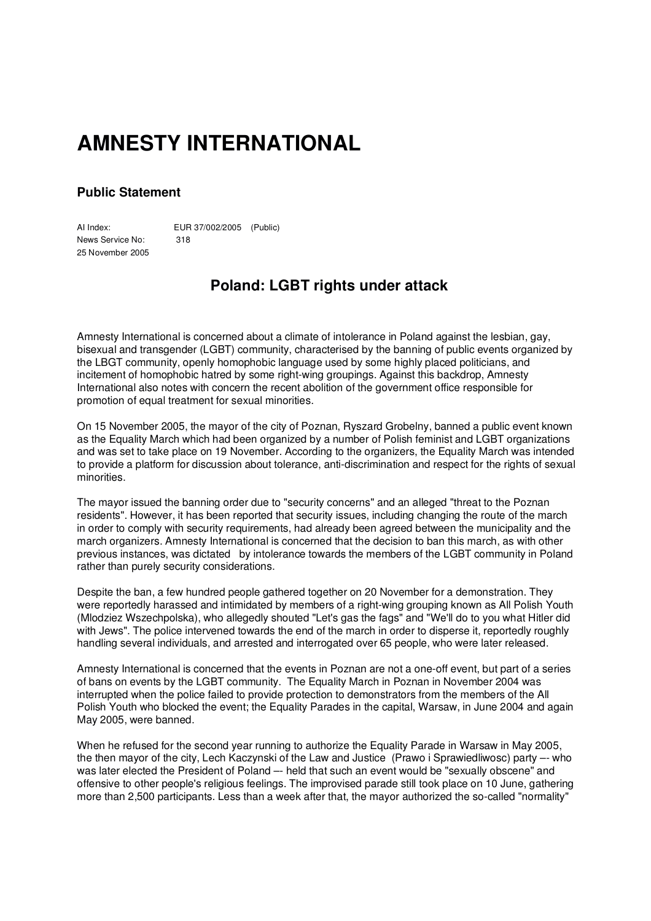## **AMNESTY INTERNATIONAL**

## **Public Statement**

AI Index: EUR 37/002/2005 (Public) News Service No: 318 25 November 2005

## **Poland: LGBT rights under attack**

Amnesty International is concerned about a climate of intolerance in Poland against the lesbian, gay, bisexual and transgender (LGBT) community, characterised by the banning of public events organized by the LBGT community, openly homophobic language used by some highly placed politicians, and incitement of homophobic hatred by some right-wing groupings. Against this backdrop, Amnesty International also notes with concern the recent abolition of the government office responsible for promotion of equal treatment for sexual minorities.

On 15 November 2005, the mayor of the city of Poznan, Ryszard Grobelny, banned a public event known as the Equality March which had been organized by a number of Polish feminist and LGBT organizations and was set to take place on 19 November. According to the organizers, the Equality March was intended to provide a platform for discussion about tolerance, anti-discrimination and respect for the rights of sexual minorities.

The mayor issued the banning order due to "security concerns" and an alleged "threat to the Poznan residents". However, it has been reported that security issues, including changing the route of the march in order to comply with security requirements, had already been agreed between the municipality and the march organizers. Amnesty International is concerned that the decision to ban this march, as with other previous instances, was dictated by intolerance towards the members of the LGBT community in Poland rather than purely security considerations.

Despite the ban, a few hundred people gathered together on 20 November for a demonstration. They were reportedly harassed and intimidated by members of a right-wing grouping known as All Polish Youth (Mlodziez Wszechpolska), who allegedly shouted "Let's gas the fags" and "We'll do to you what Hitler did with Jews". The police intervened towards the end of the march in order to disperse it, reportedly roughly handling several individuals, and arrested and interrogated over 65 people, who were later released.

Amnesty International is concerned that the events in Poznan are not a one-off event, but part of a series of bans on events by the LGBT community. The Equality March in Poznan in November 2004 was interrupted when the police failed to provide protection to demonstrators from the members of the All Polish Youth who blocked the event; the Equality Parades in the capital, Warsaw, in June 2004 and again May 2005, were banned.

When he refused for the second year running to authorize the Equality Parade in Warsaw in May 2005, the then mayor of the city, Lech Kaczynski of the Law and Justice (Prawo i Sprawiedliwosc) party –- who was later elected the President of Poland –- held that such an event would be "sexually obscene" and offensive to other people's religious feelings. The improvised parade still took place on 10 June, gathering more than 2,500 participants. Less than a week after that, the mayor authorized the so-called "normality"